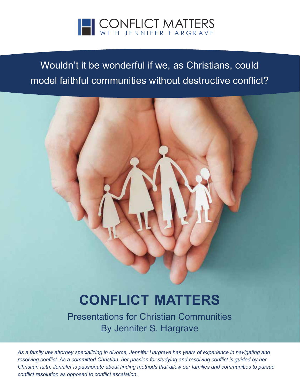

# Wouldn't it be wonderful if we, as Christians, could model faithful communities without destructive conflict?

# **CONFLICT MATTERS**

Presentations for Christian Communities By Jennifer S. Hargrave

*As a family law attorney specializing in divorce, Jennifer Hargrave has years of experience in navigating and resolving conflict. As a committed Christian, her passion for studying and resolving conflict is guided by her Christian faith. Jennifer is passionate about finding methods that allow our families and communities to pursue conflict resolution as opposed to conflict escalation.*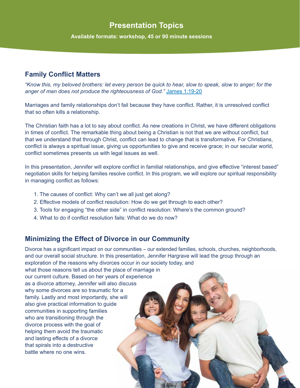# **Presentation Topics**

**Available formats: workshop, 45 or 90 minute sessions**

#### **Family Conflict Matters**

*"Know this, my beloved brothers: let every person be quick to hear, slow to speak, slow to anger; for the anger of man does not produce the righteousness of God."* [James 1:19-20](https://www.biblegateway.com/passage/?search=James+1%3A19-20&version=ESV)

Marriages and family relationships don't fail because they have conflict. Rather, it is unresolved conflict that so often kills a relationship.

The Christian faith has a lot to say about conflict. As new creations in Christ, we have different obligations in times of conflict. The remarkable thing about being a Christian is not that we are without conflict, but that we understand that through Christ, conflict can lead to change that is transformative. For Christians, conflict is always a spiritual issue, giving us opportunities to give and receive grace; in our secular world, conflict sometimes presents us with legal issues as well.

In this presentation, Jennifer will explore conflict in familial relationships, and give effective "interest based" negotiation skills for helping families resolve conflict. In this program, we will explore our spiritual responsibility in managing conflict as follows:

- 1. The causes of conflict: Why can't we all just get along?
- 2. Effective models of conflict resolution: How do we get through to each other?
- 3. Tools for engaging "the other side" in conflict resolution: Where's the common ground?
- 4. What to do if conflict resolution fails: What do we do now?

#### **Minimizing the Effect of Divorce in our Community**

Divorce has a significant impact on our communities – our extended families, schools, churches, neighborhoods, and our overall social structure. In this presentation, Jennifer Hargrave will lead the group through an exploration of the reasons why divorces occur in our society today, and

what those reasons tell us about the place of marriage in our current culture. Based on her years of experience as a divorce attorney, Jennifer will also discuss why some divorces are so traumatic for a family. Lastly and most importantly, she will also give practical information to guide communities in supporting families who are transitioning through the divorce process with the goal of helping them avoid the traumatic and lasting effects of a divorce that spirals into a destructive battle where no one wins.